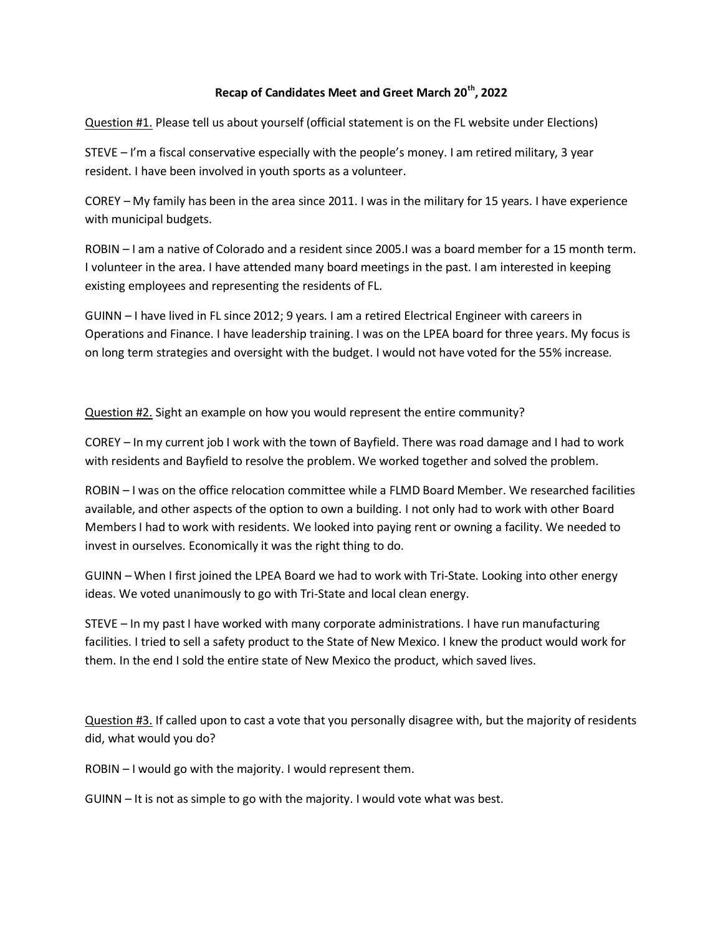## **Recap of Candidates Meet and Greet March 20th, 2022**

Question #1. Please tell us about yourself (official statement is on the FL website under Elections)

STEVE – I'm a fiscal conservative especially with the people's money. I am retired military, 3 year resident. I have been involved in youth sports as a volunteer.

COREY – My family has been in the area since 2011. I was in the military for 15 years. I have experience with municipal budgets.

ROBIN – I am a native of Colorado and a resident since 2005.I was a board member for a 15 month term. I volunteer in the area. I have attended many board meetings in the past. I am interested in keeping existing employees and representing the residents of FL.

GUINN – I have lived in FL since 2012; 9 years. I am a retired Electrical Engineer with careers in Operations and Finance. I have leadership training. I was on the LPEA board for three years. My focus is on long term strategies and oversight with the budget. I would not have voted for the 55% increase.

Question #2. Sight an example on how you would represent the entire community?

COREY – In my current job I work with the town of Bayfield. There was road damage and I had to work with residents and Bayfield to resolve the problem. We worked together and solved the problem.

ROBIN – I was on the office relocation committee while a FLMD Board Member. We researched facilities available, and other aspects of the option to own a building. I not only had to work with other Board Members I had to work with residents. We looked into paying rent or owning a facility. We needed to invest in ourselves. Economically it was the right thing to do.

GUINN – When I first joined the LPEA Board we had to work with Tri-State. Looking into other energy ideas. We voted unanimously to go with Tri-State and local clean energy.

STEVE – In my past I have worked with many corporate administrations. I have run manufacturing facilities. I tried to sell a safety product to the State of New Mexico. I knew the product would work for them. In the end I sold the entire state of New Mexico the product, which saved lives.

Question #3. If called upon to cast a vote that you personally disagree with, but the majority of residents did, what would you do?

ROBIN – I would go with the majority. I would represent them.

GUINN – It is not as simple to go with the majority. I would vote what was best.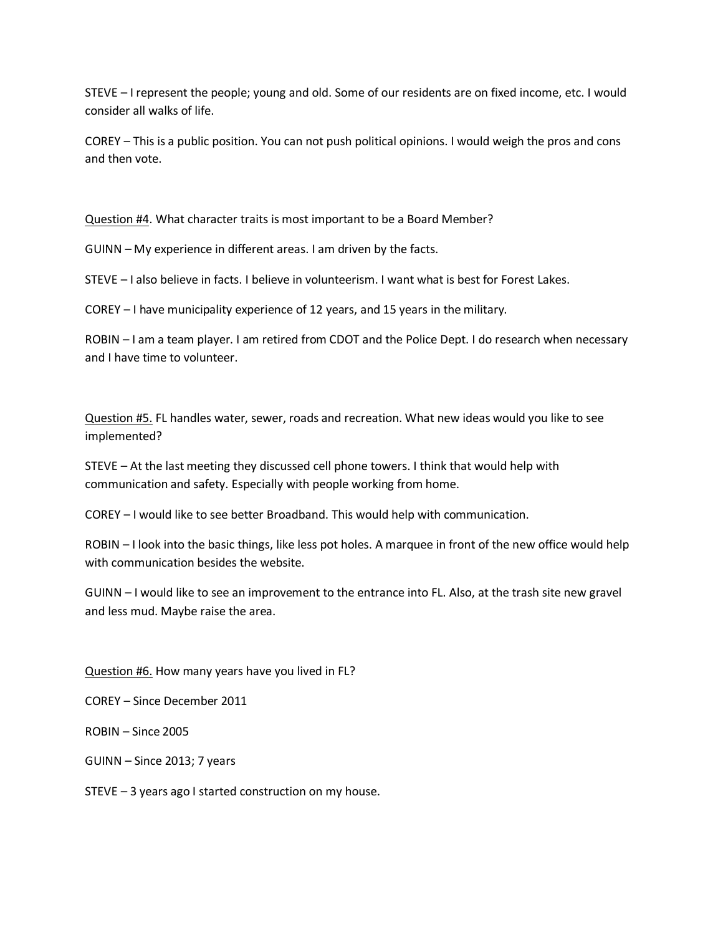STEVE – I represent the people; young and old. Some of our residents are on fixed income, etc. I would consider all walks of life.

COREY – This is a public position. You can not push political opinions. I would weigh the pros and cons and then vote.

Question #4. What character traits is most important to be a Board Member?

GUINN – My experience in different areas. I am driven by the facts.

STEVE – I also believe in facts. I believe in volunteerism. I want what is best for Forest Lakes.

COREY – I have municipality experience of 12 years, and 15 years in the military.

ROBIN – I am a team player. I am retired from CDOT and the Police Dept. I do research when necessary and I have time to volunteer.

Question #5. FL handles water, sewer, roads and recreation. What new ideas would you like to see implemented?

STEVE – At the last meeting they discussed cell phone towers. I think that would help with communication and safety. Especially with people working from home.

COREY – I would like to see better Broadband. This would help with communication.

ROBIN – I look into the basic things, like less pot holes. A marquee in front of the new office would help with communication besides the website.

GUINN – I would like to see an improvement to the entrance into FL. Also, at the trash site new gravel and less mud. Maybe raise the area.

Question #6. How many years have you lived in FL?

COREY – Since December 2011

ROBIN – Since 2005

GUINN – Since 2013; 7 years

STEVE – 3 years ago I started construction on my house.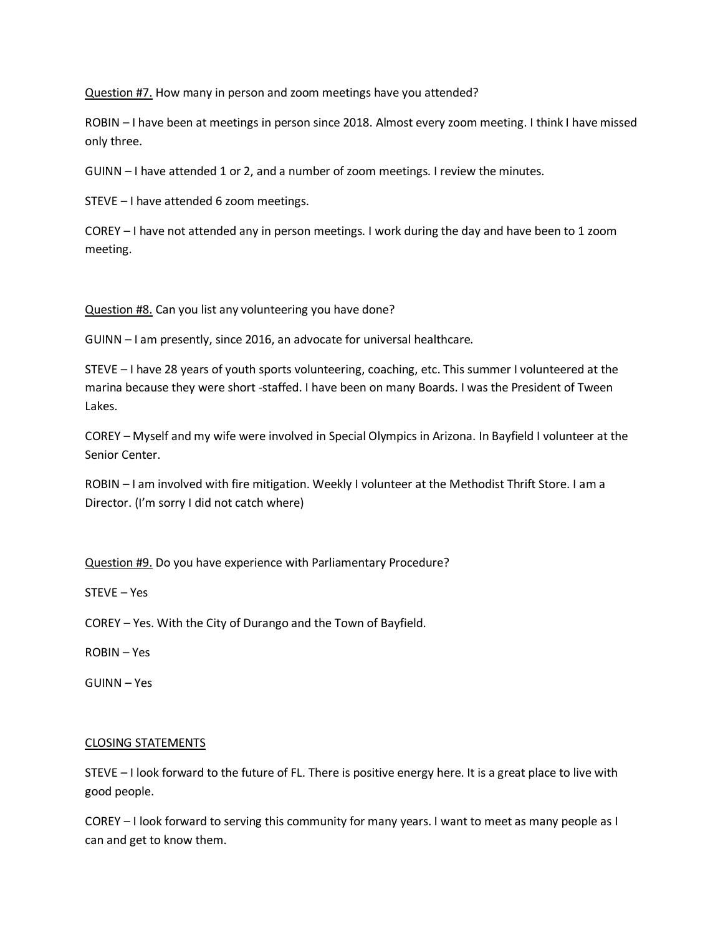Question #7. How many in person and zoom meetings have you attended?

ROBIN – I have been at meetings in person since 2018. Almost every zoom meeting. I think I have missed only three.

GUINN – I have attended 1 or 2, and a number of zoom meetings. I review the minutes.

STEVE – I have attended 6 zoom meetings.

COREY – I have not attended any in person meetings. I work during the day and have been to 1 zoom meeting.

Question #8. Can you list any volunteering you have done?

GUINN – I am presently, since 2016, an advocate for universal healthcare.

STEVE – I have 28 years of youth sports volunteering, coaching, etc. This summer I volunteered at the marina because they were short -staffed. I have been on many Boards. I was the President of Tween Lakes.

COREY – Myself and my wife were involved in Special Olympics in Arizona. In Bayfield I volunteer at the Senior Center.

ROBIN – I am involved with fire mitigation. Weekly I volunteer at the Methodist Thrift Store. I am a Director. (I'm sorry I did not catch where)

Question #9. Do you have experience with Parliamentary Procedure?

STEVE – Yes

COREY – Yes. With the City of Durango and the Town of Bayfield.

ROBIN – Yes

GUINN – Yes

## CLOSING STATEMENTS

STEVE – I look forward to the future of FL. There is positive energy here. It is a great place to live with good people.

COREY – I look forward to serving this community for many years. I want to meet as many people as I can and get to know them.